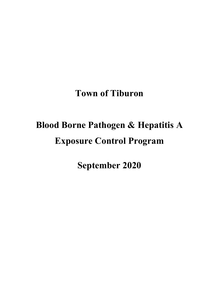# **Town of Tiburon**

# **Blood Borne Pathogen & Hepatitis A Exposure Control Program**

**September 2020**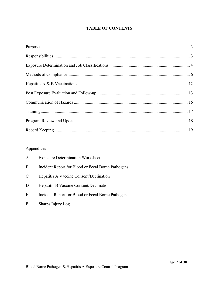#### **TABLE OF CONTENTS**

# Appendices

| $\mathsf{A}$  | <b>Exposure Determination Worksheet</b>            |
|---------------|----------------------------------------------------|
| B             | Incident Report for Blood or Fecal Borne Pathogens |
| $\mathcal{C}$ | Hepatitis A Vaccine Consent/Declination            |
| D             | Hepatitis B Vaccine Consent/Declination            |
| E             | Incident Report for Blood or Fecal Borne Pathogens |
| F             | Sharps Injury Log                                  |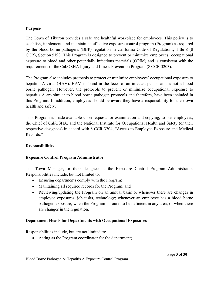#### <span id="page-2-0"></span>**Purpose**

The Town of Tiburon provides a safe and healthful workplace for employees. This policy is to establish, implement, and maintain an effective exposure control program (Program) as required by the blood borne pathogens (BBP) regulation in California Code of Regulations, Title 8 (8 CCR), Section 5193. This Program is designed to prevent or minimize employees' occupational exposure to blood and other potentially infectious materials (OPIM) and is consistent with the requirements of the Cal/OSHA Injury and Illness Prevention Program (8 CCR 3203).

The Program also includes protocols to protect or minimize employees' occupational exposure to hepatitis A virus (HAV). HAV is found in the feces of an infected person and is not a blood borne pathogen. However, the protocols to prevent or minimize occupational exposure to hepatitis A are similar to blood borne pathogen protocols and therefore, have been included in this Program. In addition, employees should be aware they have a responsibility for their own health and safety.

This Program is made available upon request, for examination and copying, to our employees, the Chief of Cal/OSHA, and the National Institute for Occupational Health and Safety (or their respective designees) in accord with 8 CCR 3204, "Access to Employee Exposure and Medical Records."

#### <span id="page-2-1"></span>**Responsibilities**

#### **Exposure Control Program Administrator**

The Town Manager, or their designee, is the Exposure Control Program Administrator. Responsibilities include, but not limited to:

- Ensuring departments comply with the Program;
- Maintaining all required records for the Program; and
- Reviewing/updating the Program on an annual basis or whenever there are changes in employee exposures, job tasks, technology; whenever an employee has a blood borne pathogen exposure; when the Program is found to be deficient in any area; or when there are changes in the regulation.

#### **Department Heads for Departments with Occupational Exposures**

Responsibilities include, but are not limited to:

• Acting as the Program coordinator for the department;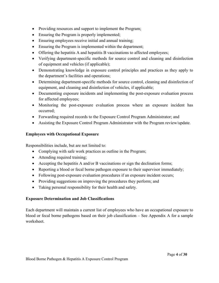- Providing resources and support to implement the Program;
- Ensuring the Program is properly implemented;
- Ensuring employees receive initial and annual training;
- Ensuring the Program is implemented within the department;
- Offering the hepatitis A and hepatitis B vaccinations to affected employees;
- Verifying department-specific methods for source control and cleaning and disinfection of equipment and vehicles (if applicable);
- Demonstrating knowledge in exposure control principles and practices as they apply to the department's facilities and operations;
- Determining department-specific methods for source control, cleaning and disinfection of equipment, and cleaning and disinfection of vehicles, if applicable;
- Documenting exposure incidents and implementing the post-exposure evaluation process for affected employees;
- Monitoring the post-exposure evaluation process where an exposure incident has occurred;
- Forwarding required records to the Exposure Control Program Administrator; and
- Assisting the Exposure Control Program Administrator with the Program review/update.

#### **Employees with Occupational Exposure**

Responsibilities include, but are not limited to:

- Complying with safe work practices as outline in the Program;
- Attending required training;
- Accepting the hepatitis A and/or B vaccinations or sign the declination forms;
- Reporting a blood or fecal borne pathogen exposure to their supervisor immediately;
- Following post-exposure evaluation procedures if an exposure incident occurs;
- Providing suggestions on improving the procedures they perform; and
- Taking personal responsibility for their health and safety.

#### <span id="page-3-0"></span>**Exposure Determination and Job Classifications**

Each department will maintain a current list of employees who have an occupational exposure to blood or fecal borne pathogens based on their job classification – See Appendix A for a sample worksheet.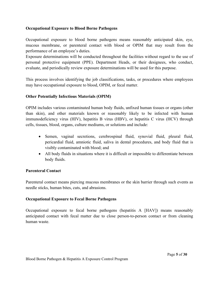#### **Occupational Exposure to Blood Borne Pathogens**

Occupational exposure to blood borne pathogens means reasonably anticipated skin, eye, mucous membrane, or parenteral contact with blood or OPIM that may result from the performance of an employee's duties.

Exposure determinations will be conducted throughout the facilities without regard to the use of personal protective equipment (PPE). Department Heads, or their designees, who conduct, evaluate, and periodically review exposure determinations will be used for this purpose.

This process involves identifying the job classifications, tasks, or procedures where employees may have occupational exposure to blood, OPIM, or fecal matter.

#### **Other Potentially Infectious Materials (OPIM)**

OPIM includes various contaminated human body fluids, unfixed human tissues or organs (other than skin), and other materials known or reasonably likely to be infected with human immunodeficiency virus (HIV), hepatitis B virus (HBV), or hepatitis C virus (HCV) through cells, tissues, blood, organs, culture mediums, or solutions and include:

- Semen, vaginal secretions, cerebrospinal fluid, synovial fluid, pleural fluid, pericardial fluid, amniotic fluid, saliva in dental procedures, and body fluid that is visibly contaminated with blood; and
- All body fluids in situations where it is difficult or impossible to differentiate between body fluids.

#### **Parenteral Contact**

Parenteral contact means piercing mucous membranes or the skin barrier through such events as needle sticks, human bites, cuts, and abrasions.

#### **Occupational Exposure to Fecal Borne Pathogens**

<span id="page-4-0"></span>Occupational exposure to fecal borne pathogens (hepatitis A [HAV]) means reasonably anticipated contact with fecal matter due to close person-to-person contact or from cleaning human waste.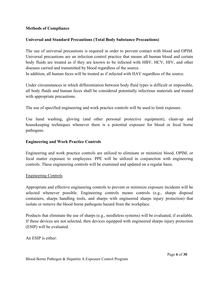#### **Methods of Compliance**

#### **Universal and Standard Precautions (Total Body Substance Precautions)**

The use of universal precautions is required in order to prevent contact with blood and OPIM. Universal precautions are an infection control practice that means all human blood and certain body fluids are treated as if they are known to be infected with HBV, HCV, HIV, and other diseases carried and transmitted by blood regardless of the source. In addition, all human feces will be treated as if infected with HAV regardless of the source.

Under circumstances in which differentiation between body fluid types is difficult or impossible, all body fluids and human feces shall be considered potentially infectious materials and treated with appropriate precautions.

The use of specified engineering and work practice controls will be used to limit exposure.

Use hand washing, gloving (and other personal protective equipment), clean-up and housekeeping techniques whenever there is a potential exposure for blood or fecal borne pathogens.

#### **Engineering and Work Practice Controls**

Engineering and work practice controls are utilized to eliminate or minimize blood, OPIM, or fecal matter exposure to employees. PPE will be utilized in conjunction with engineering controls. These engineering controls will be examined and updated on a regular basis.

#### Engineering Controls

Appropriate and effective engineering controls to prevent or minimize exposure incidents will be selected whenever possible. Engineering controls means controls (e.g., sharps disposal containers, sharps handling tools, and sharps with engineered sharps injury protection) that isolate or remove the blood borne pathogens hazard from the workplace.

Products that eliminate the use of sharps (e.g., needleless systems) will be evaluated, if available. If these devices are not selected, then devices equipped with engineered sharps injury protection (ESIP) will be evaluated.

An ESIP is either: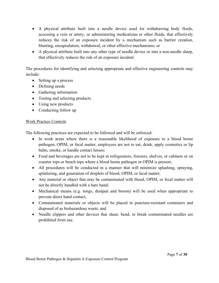- A physical attribute built into a needle device used for withdrawing body fluids, accessing a vein or artery, or administering medications or other fluids, that effectively reduces the risk of an exposure incident by a mechanism such as barrier creation, blunting, encapsulation, withdrawal, or other effective mechanisms; or
- A physical attribute built into any other type of needle device or into a non-needle sharp, that effectively reduces the risk of an exposure incident.

The procedures for identifying and selecting appropriate and effective engineering controls may include:

- Setting up a process
- Defining needs
- Gathering information
- Testing and selecting products
- Using new products
- Conducting follow up

#### Work Practice Controls

The following practices are expected to be followed and will be enforced:

- In work areas where there is a reasonable likelihood of exposure to a blood borne pathogen, OPIM, or fecal matter, employees are not to eat, drink, apply cosmetics or lip balm, smoke, or handle contact lenses;
- Food and beverages are not to be kept in refrigerators, freezers, shelves, or cabinets or on counter tops or bench tops where a blood borne pathogen or OPIM is present;
- All procedures will be conducted in a manner that will minimize splashing, spraying, splattering, and generation of droplets of blood, OPIM, or fecal matter;
- Any material or object that may be contaminated with blood, OPIM, or fecal matter will not be directly handled with a bare hand;
- Mechanical means (e.g. tongs, dustpan and broom) will be used when appropriate to prevent direct hand contact;
- Contaminated materials or objects will be placed in puncture-resistant containers and disposed of as biohazardous waste; and
- Needle clippers and other devices that shear, bend, or break contaminated needles are prohibited from use.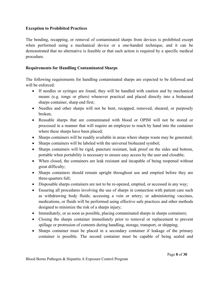#### **Exception to Prohibited Practices**

The bending, recapping, or removal of contaminated sharps from devices is prohibited except when performed using a mechanical device or a one-handed technique, and it can be demonstrated that no alternative is feasible or that such action is required by a specific medical procedure.

#### **Requirements for Handling Contaminated Sharps**

The following requirements for handling contaminated sharps are expected to be followed and will be enforced:

- If needles or syringes are found, they will be handled with caution and by mechanical means (e.g. tongs or pliers) whenever practical and placed directly into a biohazard sharps container, sharp end first;
- Needles and other sharps will not be bent, recapped, removed, sheared, or purposely broken;
- Reusable sharps that are contaminated with blood or OPIM will not be stored or processed in a manner that will require an employee to reach by hand into the container where these sharps have been placed;
- Sharps containers will be readily available in areas where sharps waste may be generated;
- Sharps containers will be labeled with the universal biohazard symbol;
- Sharps containers will be rigid, puncture resistant, leak proof on the sides and bottom, portable when portability is necessary to ensure easy access by the user and closable;
- When closed, the containers are leak resistant and incapable of being reopened without great difficulty;
- Sharps containers should remain upright throughout use and emptied before they are three-quarters full;
- Disposable sharps containers are not to be re-opened, emptied, or accessed in any way;
- Ensuring all procedures involving the use of sharps in connection with patient care such as withdrawing body fluids; accessing a vein or artery; or administering vaccines, medications, or fluids will be performed using effective safe practices and other methods designed to minimize the risk of a sharps injury;
- Immediately, or as soon as possible, placing contaminated sharps in sharps containers;
- Closing the sharps container immediately prior to removal or replacement to prevent spillage or protrusion of contents during handling, storage, transport, or shipping;
- Sharps container must be placed in a secondary container if leakage of the primary container is possible. The second container must be capable of being sealed and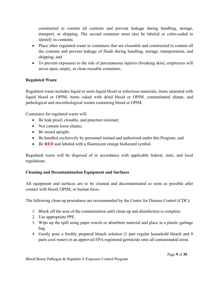constructed to contain all contents and prevent leakage during handling, storage, transport, or shipping. The second container must also be labeled or color-coded to identify its contents;

- Place other regulated waste in containers that are closeable and constructed to contain all the contents and prevent leakage of fluids during handling, storage, transportation, and shipping; and
- To prevent exposures to the risk of percutaneous injuries (breaking skin), employees will never open, empty, or clean reusable containers.

#### **Regulated Waste**

Regulated waste includes liquid or semi-liquid blood or infectious materials, items saturated with liquid blood or OPIM, items caked with dried blood or OPIM, contaminated sharps, and pathological and microbiological wastes containing blood or OPIM.

Containers for regulated waste will:

- Be leak proof, closable, and puncture resistant;
- Not contain loose sharps;
- Be stored upright;
- Be handled exclusively by personnel trained and authorized under this Program; and
- Be **RED** and labeled with a fluorescent orange biohazard symbol.

Regulated waste will be disposed of in accordance with applicable federal, state, and local regulations.

#### **Cleaning and Decontamination Equipment and Surfaces**

All equipment and surfaces are to be cleaned and decontaminated as soon as possible after contact with blood, OPIM, or human feces.

The following clean-up procedures are recommended by the Center for Disease Control (CDC):

- 1. Block off the area of the contamination until clean-up and disinfection is complete.
- 2. Use appropriate PPE.
- 3. Wipe up the spill using paper towels or absorbent material and place in a plastic garbage bag.
- 4. Gently pour a freshly prepared bleach solution (1 part regular household bleach and 9 parts cool water) or an approved EPA-registered germicide onto all contaminated areas.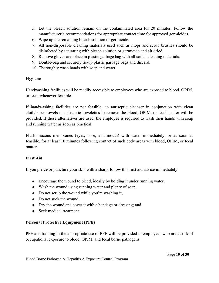- 5. Let the bleach solution remain on the contaminated area for 20 minutes. Follow the manufacturer's recommendations for appropriate contact time for approved germicides.
- 6. Wipe up the remaining bleach solution or germicide.
- 7. All non-disposable cleaning materials used such as mops and scrub brushes should be disinfected by saturating with bleach solution or germicide and air dried.
- 8. Remove gloves and place in plastic garbage bag with all soiled cleaning materials.
- 9. Double-bag and securely tie-up plastic garbage bags and discard.
- 10. Thoroughly wash hands with soap and water.

#### **Hygiene**

Handwashing facilities will be readily accessible to employees who are exposed to blood, OPIM, or fecal whenever feasible.

If handwashing facilities are not feasible, an antiseptic cleanser in conjunction with clean cloth/paper towels or antiseptic towelettes to remove the blood, OPIM, or fecal matter will be provided. If these alternatives are used, the employee is required to wash their hands with soap and running water as soon as practical.

Flush mucous membranes (eyes, nose, and mouth) with water immediately, or as soon as feasible, for at least 10 minutes following contact of such body areas with blood, OPIM, or fecal matter.

#### **First Aid**

If you pierce or puncture your skin with a sharp, follow this first aid advice immediately:

- Encourage the wound to bleed, ideally by holding it under running water;
- Wash the wound using running water and plenty of soap;
- Do not scrub the wound while you're washing it;
- Do not suck the wound;
- Dry the wound and cover it with a bandage or dressing; and
- Seek medical treatment.

#### **Personal Protective Equipment (PPE)**

PPE and training in the appropriate use of PPE will be provided to employees who are at risk of occupational exposure to blood, OPIM, and fecal borne pathogens.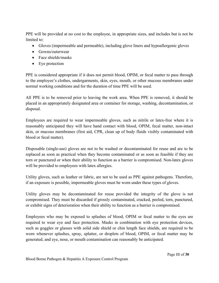PPE will be provided at no cost to the employee, in appropriate sizes, and includes but is not be limited to:

- Gloves (impermeable and permeable), including glove liners and hypoallergenic gloves
- Gowns/outerwear
- Face shields/masks
- Eye protection

PPE is considered appropriate if it does not permit blood, OPIM, or fecal matter to pass through to the employee's clothes, undergarments, skin, eyes, mouth, or other mucous membranes under normal working conditions and for the duration of time PPE will be used.

All PPE is to be removed prior to leaving the work area. When PPE is removed, it should be placed in an appropriately designated area or container for storage, washing, decontamination, or disposal.

Employees are required to wear impermeable gloves, such as nitrile or latex-free where it is reasonably anticipated they will have hand contact with blood, OPIM, fecal matter, non-intact skin, or mucous membranes (first aid, CPR, clean up of body fluids visibly contaminated with blood or fecal matter).

Disposable (single-use) gloves are not to be washed or decontaminated for reuse and are to be replaced as soon as practical when they become contaminated or as soon as feasible if they are torn or punctured or when their ability to function as a barrier is compromised. Non-latex gloves will be provided to employees with latex allergies.

Utility gloves, such as leather or fabric, are not to be used as PPE against pathogens. Therefore, if an exposure is possible, impermeable gloves must be worn under these types of gloves.

Utility gloves may be decontaminated for reuse provided the integrity of the glove is not compromised. They must be discarded if grossly contaminated, cracked, peeled, torn, punctured, or exhibit signs of deterioration when their ability to function as a barrier is compromised.

Employees who may be exposed to splashes of blood, OPIM or fecal matter to the eyes are required to wear eye and face protection. Masks in combination with eye protection devices, such as goggles or glasses with solid side shield or chin length face shields, are required to be worn whenever splashes, spray, splatter, or droplets of blood, OPIM, or fecal matter may be generated, and eye, nose, or mouth contamination can reasonably be anticipated.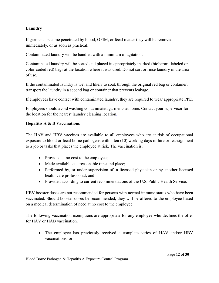#### **Laundry**

If garments become penetrated by blood, OPIM, or fecal matter they will be removed immediately, or as soon as practical.

Contaminated laundry will be handled with a minimum of agitation.

Contaminated laundry will be sorted and placed in appropriately marked (biohazard labeled or color-coded red) bags at the location where it was used. Do not sort or rinse laundry in the area of use.

If the contaminated laundry is wet and likely to soak through the original red bag or container, transport the laundry in a second bag or container that prevents leakage.

If employees have contact with contaminated laundry, they are required to wear appropriate PPE.

Employees should avoid washing contaminated garments at home. Contact your supervisor for the location for the nearest laundry cleaning location.

#### <span id="page-11-0"></span>**Hepatitis A & B Vaccinations**

The HAV and HBV vaccines are available to all employees who are at risk of occupational exposure to blood or fecal borne pathogens within ten (10) working days of hire or reassignment to a job or tasks that places the employee at risk. The vaccination is:

- Provided at no cost to the employee;
- Made available at a reasonable time and place;
- Performed by, or under supervision of, a licensed physician or by another licensed health care professional; and
- Provided according to current recommendations of the U.S. Public Health Service.

HBV booster doses are not recommended for persons with normal immune status who have been vaccinated. Should booster doses be recommended, they will be offered to the employee based on a medical determination of need at no cost to the employee.

The following vaccination exemptions are appropriate for any employee who declines the offer for HAV or HAB vaccination.

• The employee has previously received a complete series of HAV and/or HBV vaccinations; or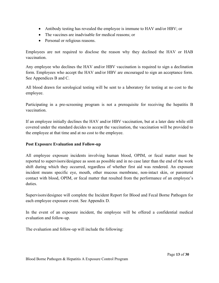- Antibody testing has revealed the employee is immune to HAV and/or HBV; or
- The vaccines are inadvisable for medical reasons; or
- Personal or religious reasons.

Employees are not required to disclose the reason why they declined the HAV or HAB vaccination.

Any employee who declines the HAV and/or HBV vaccination is required to sign a declination form. Employees who accept the HAV and/or HBV are encouraged to sign an acceptance form. See Appendices B and C.

All blood drawn for serological testing will be sent to a laboratory for testing at no cost to the employee.

Participating in a pre-screening program is not a prerequisite for receiving the hepatitis B vaccination.

If an employee initially declines the HAV and/or HBV vaccination, but at a later date while still covered under the standard decides to accept the vaccination, the vaccination will be provided to the employee at that time and at no cost to the employee.

#### <span id="page-12-0"></span>**Post Exposure Evaluation and Follow-up**

All employee exposure incidents involving human blood, OPIM, or fecal matter must be reported to supervisors/designee as soon as possible and in no case later than the end of the work shift during which they occurred, regardless of whether first aid was rendered. An exposure incident means specific eye, mouth, other mucous membrane, non-intact skin, or parenteral contact with blood, OPIM, or fecal matter that resulted from the performance of an employee's duties.

Supervisors/designee will complete the Incident Report for Blood and Fecal Borne Pathogen for each employee exposure event. See Appendix D.

In the event of an exposure incident, the employee will be offered a confidential medical evaluation and follow-up.

The evaluation and follow-up will include the following: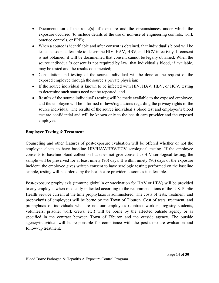- Documentation of the route(s) of exposure and the circumstances under which the exposure occurred (to include details of the use or non-use of engineering controls, work practice controls, or PPE);
- When a source is identifiable and after consent is obtained, that individual's blood will be tested as soon as feasible to determine HIV, HAV, HBV, and HCV infectivity. If consent is not obtained, it will be documented that consent cannot be legally obtained. When the source individual's consent is not required by law, that individual's blood, if available, may be tested and the results documented;
- Consultation and testing of the source individual will be done at the request of the exposed employee through the source's private physician;
- If the source individual is known to be infected with HIV, HAV, HBV, or HCV, testing to determine such status need not be repeated; and
- Results of the source individual's testing will be made available to the exposed employee, and the employee will be informed of laws/regulations regarding the privacy rights of the source individual. The results of the source individual's blood test and employee's blood test are confidential and will be known only to the health care provider and the exposed employee.

#### **Employee Testing & Treatment**

Counseling and other features of post-exposure evaluation will be offered whether or not the employee elects to have baseline HIV/HAV/HBV/HCV serological testing. If the employee consents to baseline blood collection but does not give consent to HIV serological testing, the sample will be preserved for at least ninety (90) days. If within ninety (90) days of the exposure incident, the employee gives written consent to have serologic testing performed on the baseline sample, testing will be ordered by the health care provider as soon as it is feasible.

Post-exposure prophylaxis (immune globulin or vaccination for HAV or HBV) will be provided to any employee when medically indicated according to the recommendations of the U.S. Public Health Service current at the time prophylaxis is administered. The costs of tests, treatment, and prophylaxis of employees will be borne by the Town of Tiburon. Cost of tests, treatment, and prophylaxis of individuals who are not our employees (contract workers, registry students, volunteers, prisoner work crews, etc.) will be borne by the affected outside agency or as specified in the contract between Town of Tiburon and the outside agency. The outside agency/individual will be responsible for compliance with the post-exposure evaluation and follow-up treatment.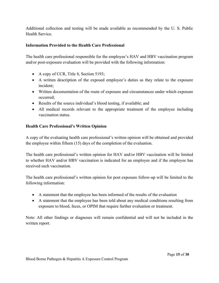Additional collection and testing will be made available as recommended by the U. S. Public Health Service.

#### **Information Provided to the Health Care Professional**

The health care professional responsible for the employee's HAV and HBV vaccination program and/or post-exposure evaluation will be provided with the following information:

- A copy of CCR, Title 8, Section 5193;
- A written description of the exposed employee's duties as they relate to the exposure incident;
- Written documentation of the route of exposure and circumstances under which exposure occurred;
- Results of the source individual's blood testing, if available; and
- All medical records relevant to the appropriate treatment of the employee including vaccination status.

#### **Health Care Professional's Written Opinion**

A copy of the evaluating health care professional's written opinion will be obtained and provided the employee within fifteen (15) days of the completion of the evaluation.

The health care professional's written opinion for HAV and/or HBV vaccination will be limited to whether HAV and/or HBV vaccination is indicated for an employee and if the employee has received such vaccination.

The health care professional's written opinion for post exposure follow-up will be limited to the following information:

- A statement that the employee has been informed of the results of the evaluation
- A statement that the employee has been told about any medical conditions resulting from exposure to blood, feces, or OPIM that require further evaluation or treatment.

Note: All other findings or diagnoses will remain confidential and will not be included in the written report.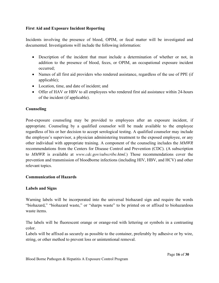#### **First Aid and Exposure Incident Reporting**

Incidents involving the presence of blood, OPIM, or fecal matter will be investigated and documented. Investigations will include the following information:

- Description of the incident that must include a determination of whether or not, in addition to the presence of blood, feces, or OPIM, an occupational exposure incident occurred;
- Names of all first aid providers who rendered assistance, regardless of the use of PPE (if applicable);
- Location, time, and date of incident; and
- Offer of HAV or HBV to all employees who rendered first aid assistance within 24-hours of the incident (if applicable).

#### **Counseling**

Post-exposure counseling may be provided to employees after an exposure incident, if appropriate. Counseling by a qualified counselor will be made available to the employee regardless of his or her decision to accept serological testing. A qualified counselor may include the employee's supervisor, a physician administering treatment to the exposed employee, or any other individual with appropriate training. A component of the counseling includes the *MMWR*  recommendations from the Centers for Disease Control and Prevention (CDC). (A subscription to *MMWR* is available at *www.cdc.gov/subscribe.html.*) Those recommendations cover the prevention and transmission of bloodborne infections (including HIV, HBV, and HCV) and other relevant topics.

#### <span id="page-15-0"></span>**Communication of Hazards**

#### **Labels and Signs**

Warning labels will be incorporated into the universal biohazard sign and require the words "biohazard," "biohazard waste," or "sharps waste" to be printed on or affixed to biohazardous waste items.

The labels will be fluorescent orange or orange-red with lettering or symbols in a contrasting color.

Labels will be affixed as securely as possible to the container, preferably by adhesive or by wire, string, or other method to prevent loss or unintentional removal.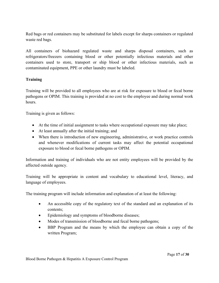Red bags or red containers may be substituted for labels except for sharps containers or regulated waste red bags.

All containers of biohazard regulated waste and sharps disposal containers, such as refrigerators/freezers containing blood or other potentially infectious materials and other containers used to store, transport or ship blood or other infectious materials, such as contaminated equipment, PPE or other laundry must be labeled.

#### <span id="page-16-0"></span>**Training**

Training will be provided to all employees who are at risk for exposure to blood or fecal borne pathogens or OPIM. This training is provided at no cost to the employee and during normal work hours.

Training is given as follows:

- At the time of initial assignment to tasks where occupational exposure may take place;
- At least annually after the initial training; and
- When there is introduction of new engineering, administrative, or work practice controls and whenever modifications of current tasks may affect the potential occupational exposure to blood or fecal borne pathogens or OPIM.

Information and training of individuals who are not entity employees will be provided by the affected outside agency.

Training will be appropriate in content and vocabulary to educational level, literacy, and language of employees.

The training program will include information and explanation of at least the following:

- An accessible copy of the regulatory text of the standard and an explanation of its contents;
- Epidemiology and symptoms of bloodborne diseases;
- Modes of transmission of bloodborne and fecal borne pathogens;
- BBP Program and the means by which the employee can obtain a copy of the written Program;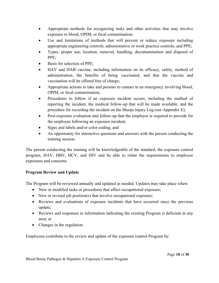- Appropriate methods for recognizing tasks and other activities that may involve exposure to blood, OPIM, or fecal contamination;
- Use and limitations of methods that will prevent or reduce exposure including appropriate engineering controls, administrative or work practice controls, and PPE;
- Types, proper use, location, removal, handling, decontamination and disposal of PPE;
- Basis for selection of PPE;
- HAV and HAB vaccine, including information on its efficacy, safety, method of administration, the benefits of being vaccinated, and that the vaccine and vaccination will be offered free of charge;
- Appropriate actions to take and persons to contact in an emergency involving blood, OPIM, or fecal contamination;
- Procedures to follow if an exposure incident occurs, including the method of reporting the incident, the medical follow-up that will be made available, and the procedure for recording the incident on the Sharps Injury Log (see Appendix E);
- Post-exposure evaluation and follow-up that the employer is required to provide for the employee following an exposure incident;
- Signs and labels and/or color coding; and
- An opportunity for interactive questions and answers with the person conducting the training session.

The person conducting the training will be knowledgeable of the standard, the exposure control program, HAV, HBV, HCV, and HIV and be able to relate the requirements to employee exposures and concerns.

#### <span id="page-17-0"></span>**Program Review and Update**

The Program will be reviewed annually and updated as needed. Updates may take place when:

- New or modified tasks or procedures that affect occupational exposure;
- New or revised job position(s) that involve occupational exposure;
- Reviews and evaluations of exposure incidents that have occurred since the previous update;
- Reviews and responses to information indicating the existing Program is deficient in any area; or
- Changes in the regulation.

Employees contribute to the review and update of the exposure control Program by: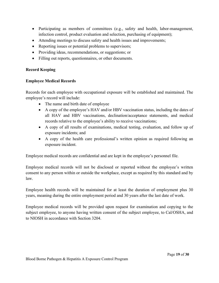- Participating as members of committees (e.g., safety and health, labor-management, infection control, product evaluation and selection, purchasing of equipment);
- Attending meetings to discuss safety and health issues and improvements;
- Reporting issues or potential problems to supervisors;
- Providing ideas, recommendations, or suggestions; or
- Filling out reports, questionnaires, or other documents.

#### <span id="page-18-0"></span>**Record Keeping**

#### **Employee Medical Records**

Records for each employee with occupational exposure will be established and maintained. The employee's record will include:

- The name and birth date of employee
- A copy of the employee's HAV and/or HBV vaccination status, including the dates of all HAV and HBV vaccinations, declination/acceptance statements, and medical records relative to the employee's ability to receive vaccinations;
- A copy of all results of examinations, medical testing, evaluation, and follow up of exposure incidents; and
- A copy of the health care professional's written opinion as required following an exposure incident.

Employee medical records are confidential and are kept in the employee's personnel file.

Employee medical records will not be disclosed or reported without the employee's written consent to any person within or outside the workplace, except as required by this standard and by law.

Employee health records will be maintained for at least the duration of employment plus 30 years, meaning during the entire employment period and 30 years after the last date of work.

Employee medical records will be provided upon request for examination and copying to the subject employee, to anyone having written consent of the subject employee, to Cal/OSHA, and to NIOSH in accordance with Section 3204.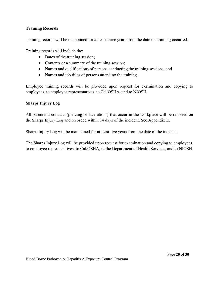#### **Training Records**

Training records will be maintained for at least three years from the date the training occurred.

Training records will include the:

- Dates of the training session;
- Contents or a summary of the training session;
- Names and qualifications of persons conducting the training sessions; and
- Names and job titles of persons attending the training.

Employee training records will be provided upon request for examination and copying to employees, to employee representatives, to Cal/OSHA, and to NIOSH.

#### **Sharps Injury Log**

All parenteral contacts (piercing or lacerations) that occur in the workplace will be reported on the Sharps Injury Log and recorded within 14 days of the incident. See Appendix E.

Sharps Injury Log will be maintained for at least five years from the date of the incident.

The Sharps Injury Log will be provided upon request for examination and copying to employees, to employee representatives, to Cal/OSHA, to the Department of Health Services, and to NIOSH.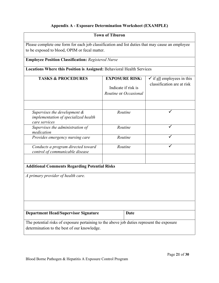#### **Appendix A - Exposure Determination Worksheet (EXAMPLE)**

|                                                                                                                                                  | <b>Town of Tiburon</b>                                                |                                                                            |
|--------------------------------------------------------------------------------------------------------------------------------------------------|-----------------------------------------------------------------------|----------------------------------------------------------------------------|
| Please complete one form for each job classification and list duties that may cause an employee<br>to be exposed to blood, OPIM or fecal matter. |                                                                       |                                                                            |
| <b>Employee Position Classification: Registered Nurse</b>                                                                                        |                                                                       |                                                                            |
| Locations Where this Position is Assigned: Behavioral Health Services                                                                            |                                                                       |                                                                            |
| <b>TASKS &amp; PROCEDURES</b>                                                                                                                    | <b>EXPOSURE RISK:</b><br>Indicate if risk is<br>Routine or Occasional | $\checkmark$ if <u>all</u> employees in this<br>classification are at risk |
| Supervises the development $\&$<br>implementation of specialized health                                                                          | Routine                                                               |                                                                            |
| care services                                                                                                                                    |                                                                       |                                                                            |
| Supervises the administration of<br>medication                                                                                                   | Routine                                                               |                                                                            |
| Provides emergency nursing care                                                                                                                  | Routine                                                               |                                                                            |
| Conducts a program directed toward<br>control of communicable disease                                                                            | Routine                                                               |                                                                            |
|                                                                                                                                                  |                                                                       |                                                                            |
| <b>Additional Comments Regarding Potential Risks</b>                                                                                             |                                                                       |                                                                            |
| A primary provider of health care.                                                                                                               |                                                                       |                                                                            |
|                                                                                                                                                  |                                                                       |                                                                            |
| <b>Department Head/Supervisor Signature</b>                                                                                                      | Date                                                                  |                                                                            |
| The potential risks of exposure pertaining to the above job duties represent the exposure<br>determination to the best of our knowledge.         |                                                                       |                                                                            |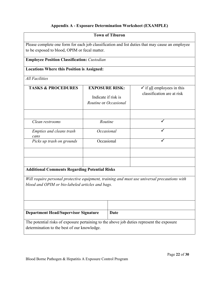#### **Appendix A - Exposure Determination Worksheet (EXAMPLE)**

# **Town of Tiburon** Please complete one form for each job classification and list duties that may cause an employee to be exposed to blood, OPIM or fecal matter. **Employee Position Classification:** *Custodian* **Locations Where this Position is Assigned:** *All Facilities* **TASKS & PROCEDURES** FXPOSURE RISK: Indicate if risk is *Routine* or *Occasional*  $\checkmark$  if all employees in this classification are at risk *Clean restrooms Routine Empties and cleans trash cans Occasional Picks up trash on grounds* **C**  $\bigcup$  Occasional **Additional Comments Regarding Potential Risks** *Will require personal protective equipment, training and must use universal precautions with blood and OPIM or bio-labeled articles and bags.* **Department Head/Supervisor Signature** | Date

The potential risks of exposure pertaining to the above job duties represent the exposure determination to the best of our knowledge.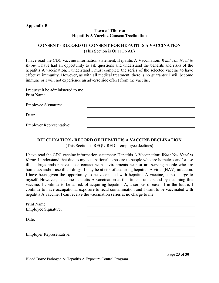#### **Appendix B**

Employer Representative:

#### **Town of Tiburon Hepatitis A Vaccine Consent/Declination**

#### **CONSENT - RECORD OF CONSENT FOR HEPATITIS A VACCINATION**

(This Section is OPTIONAL)

I have read the CDC vaccine information statement, Hepatitis A Vaccination: *What You Need to Know.* I have had an opportunity to ask questions and understand the benefits and risks of the hepatitis A vaccination. I understand I must complete the series of the selected vaccine to have effective immunity. However, as with all medical treatment, there is no guarantee I will become immune or I will not experience an adverse side effect from the vaccine.

| I request it be administered to me.<br>Print Name: |  |
|----------------------------------------------------|--|
| Employee Signature:                                |  |
| Date:                                              |  |
|                                                    |  |

# **DELCLINATION - RECORD OF HEPATITIS A VACCINE DECLINATION**

(This Section is REQUIRED if employee declines)

I have read the CDC vaccine information statement: Hepatitis A Vaccination: *What You Need to Know*. I understand that due to my occupational exposure to people who are homeless and/or use illicit drugs and/or have close contact with environments near or are serving people who are homeless and/or use illicit drugs, I may be at risk of acquiring hepatitis A virus (HAV) infection. I have been given the opportunity to be vaccinated with hepatitis A vaccine, at no charge to myself. However, I decline hepatitis A vaccination at this time. I understand by declining this vaccine, I continue to be at risk of acquiring hepatitis A, a serious disease. If in the future, I continue to have occupational exposure to fecal contamination and I want to be vaccinated with hepatitis A vaccine, I can receive the vaccination series at no charge to me.

| Print Name:                     |  |
|---------------------------------|--|
| <b>Employee Signature:</b>      |  |
|                                 |  |
| Date:                           |  |
|                                 |  |
|                                 |  |
| <b>Employer Representative:</b> |  |
|                                 |  |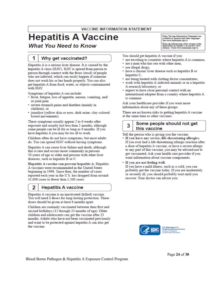#### **VACCINE INFORMATION STATEMENT**

# **Hepatitis A Vaccine**

## **What You Need to Know**

#### 1 Why get vaccinated?

Hepatitis A is a serious liver disease. It is caused by the hepatitis A virus (HAV). HAV is spread from person to person through contact with the feces (stool) of people who are infected, which can easily happen if someone does not wash his or her hands properly. You can also get hepatitis A from food, water, or objects contaminated with HAV.

Symptoms of hepatitis A can include:

- · fever, fatigue, loss of appetite, nausea, vomiting, and/ or joint pain
- · severe stomach pains and diarrhea (mainly in children), or
- · jaundice (yellow skin or eyes, dark urine, clay-colored bowel movements).

These symptoms usually appear 2 to 6 weeks after exposure and usually last less than 2 months, although some people can be ill for as long as 6 months. If you have hepatitis A you may be too ill to work.

Children often do not have symptoms, but most adults do. You can spread HAV without having symptoms.

Hepatitis A can cause liver failure and death, although this is rare and occurs more commonly in persons 50 years of age or older and persons with other liver diseases, such as hepatitis B or C.

Hepatitis A vaccine can prevent hepatitis A. Hepatitis A vaccines were recommended in the United States beginning in 1996. Since then, the number of cases reported each year in the U.S. has dropped from around 31,000 cases to fewer than 1,500 cases.

#### **Hepatitis A vaccine**

2

Hepatitis A vaccine is an inactivated (killed) vaccine. You will need 2 doses for long-lasting protection. These doses should be given at least 6 months apart.

Children are routinely vaccinated between their first and second birthdays (12 through 23 months of age). Older children and adolescents can get the vaccine after 23 months. Adults who have not been vaccinated previously and want to be protected against hepatitis A can also get the vaccine.

Many Vaccine Information Statements are<br>available in Spanish and other languages.<br>See wave immunize.org/vis

Hojas de información sobre vacunas están<br>disponibles en español y en numbos otros<br>idiomas. Visite www.immunize.org/vis

You should get hepatitis A vaccine if you:

- are traveling to countries where hepatitis A is common,
- are a man who has sex with other men,
- · use illegal drugs,
- have a chronic liver disease such as hepatitis B or hepatitis C,
- are being treated with clotting-factor concentrates,
- work with hepatitis A-infected animals or in a hepatitis A research laboratory, or
- expect to have close personal contact with an international adoptee from a country where hepatitis A is common

Ask your healthcare provider if you want more information about any of these groups.

There are no known risks to getting hepatitis A vaccine at the same time as other vaccines.

#### Some people should not get 3 this vaccine

Tell the person who is giving you the vaccine:

- · If you have any severe, life-threatening allergies. If you ever had a life-threatening allergic reaction after a dose of hepatitis A vaccine, or have a severe allergy to any part of this vaccine, you may be advised not to get vaccinated. Ask your health care provider if you want information about vaccine components.
- · If you are not feeling well.

If you have a mild illness, such as a cold, you can probably get the vaccine today. If you are moderately or severely ill, you should probably wait until you recover. Your doctor can advise you.

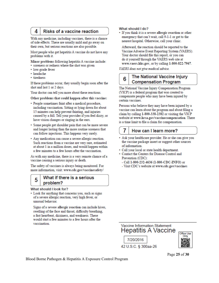#### **Risks of a vaccine reaction**

With any medicine, including vaccines, there is a chance of side effects. These are usually mild and go away on their own, but serious reactions are also possible.

Most people who get hepatitis A vaccine do not have any problems with it.

Minor problems following hepatitis A vaccine include:

- · soreness or redness where the shot was given
- · low-grade fever
- headache

4

• tiredness

If these problems occur, they usually begin soon after the shot and last 1 or 2 days.

Your doctor can tell you more about these reactions.

Other problems that could happen after this vaccine:

- · People sometimes faint after a medical procedure, including vaccination. Sitting or lying down for about 15 minutes can help prevent fainting, and injuries caused by a fall. Tell your provider if you feel dizzy, or have vision changes or ringing in the ears.
- · Some people get shoulder pain that can be more severe and longer lasting than the more routine soreness that can follow injections. This happens very rarely.
- Any medication can cause a severe allergic reaction. Such reactions from a vaccine are very rare, estimated at about 1 in a million doses, and would happen within a few minutes to a few hours after the vaccination.

As with any medicine, there is a very remote chance of a vaccine causing a serious injury or death.

The safety of vaccines is always being monitored. For more information, visit: www.cdc.gov/vaccinesafety/

#### What if there is a serious 5 problem?

#### What should I look for?

• Look for anything that concerns you, such as signs of a severe allergic reaction, very high fever, or unusual behavior.

Signs of a severe allergic reaction can include hives, swelling of the face and throat, difficulty breathing, a fast heartbeat, dizziness, and weakness. These would start a few minutes to a few hours after the vaccination.

#### What should I do?

• If you think it is a severe allergic reaction or other emergency that can't wait, call 9-1-1 or get to the nearest hospital. Otherwise, call your clinic.

Afterward, the reaction should be reported to the Vaccine Adverse Event Reporting System (VAERS). Your doctor should file this report, or you can do it yourself through the VAERS web site at www.vaers.hhs.gov, or by calling 1-800-822-7967.

VAERS does not give medical advice.

#### The National Vaccine Injury 6 **Compensation Program**

The National Vaccine Injury Compensation Program (VICP) is a federal program that was created to compensate people who may have been injured by certain vaccines.

Persons who believe they may have been injured by a vaccine can learn about the program and about filing a claim by calling 1-800-338-2382 or visiting the VICP website at www.hrsa.gov/vaccinecompensation. There is a time limit to file a claim for compensation.

#### 7 How can I learn more?

- Ask your healthcare provider. He or she can give you the vaccine package insert or suggest other sources of information.
- · Call your local or state health department.
- Contact the Centers for Disease Control and Prevention (CDC):
	- Call 1-800-232-4636 (1-800-CDC-INFO) or
	- Visit CDC's website at www.cdc.gov/vaccines



Page **25** of **30**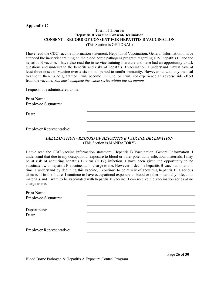#### **Appendix C**

#### **Town of Tiburon Hepatitis B Vaccine Consent/Declination CONSENT - RECORD OF CONSENT FOR HEPATITIS B VACCINATION**

(This Section is OPTIONAL)

I have read the CDC vaccine information statement: Hepatitis B Vaccination: General Information. I have attended the in-service training on the blood borne pathogens program regarding HIV, hepatitis B, and the hepatitis B vaccine. I have also read the in-service training literature and have had an opportunity to ask questions and understand the benefits and risks of hepatitis B vaccination. I understand I must have at least three doses of vaccine over a six-month period to confer immunity. However, as with any medical treatment, there is no guarantee I will become immune, or I will not experience an adverse side effect from the vaccine. *You must complete the whole series within the six months.*

I request it be administered to me.

| Print Name:                     |  |
|---------------------------------|--|
| Employee Signature:             |  |
|                                 |  |
| Date:                           |  |
|                                 |  |
|                                 |  |
| <b>Employer Representative:</b> |  |

#### *DELCLINATION - RECORD OF HEPATITIS B VACCINE DECLINATION* (This Section is MANDATORY)

I have read the CDC vaccine information statement: Hepatitis B Vaccination: General Informat*i*on. I understand that due to my occupational exposure to blood or other potentially infectious materials, I may be at risk of acquiring hepatitis B virus (HBV) infection. I have been given the opportunity to be vaccinated with hepatitis B vaccine, at no charge to me. However, I decline hepatitis B vaccination at this time. I understand by declining this vaccine, I continue to be at risk of acquiring hepatitis B, a serious disease. If in the future, I continue to have occupational exposure to blood or other potentially infectious materials and I want to be vaccinated with hepatitis B vaccine, I can receive the vaccination series at no charge to me.

| Print Name:                     |  |
|---------------------------------|--|
| <b>Employee Signature:</b>      |  |
|                                 |  |
| Department:                     |  |
| Date:                           |  |
|                                 |  |
| <b>Employer Representative:</b> |  |
|                                 |  |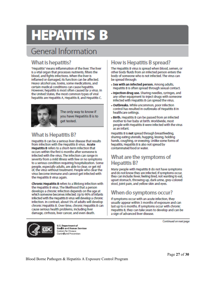# **HEPATITIS B**

# **General Information**

# What is hepatitis?

"Hepatitis" means inflammation of the liver. The liver Is a vital organ that processes nutrients, filters the blood, and fights Infections. When the liver is Inflamed or damaged, Its function can be affected. Heavy alcohol use, toxins, some medications, and certain medical conditions can cause hepatitis. However, hepatitis is most often caused by a virus. In the United States, the most common types of viral hepatitis are Hepatitis A, Hepatitis B, and Hepatitis C.



The only way to know if you have Hepatitis B is to aet tested.

# **What Is Hepatitis B?**

Hepatitis B can be a serious liver disease that results from Infection with the Hepatitis B virus. Acute Hepatitis B refers to a short-term infection that occurs within the first 6 months after someone is Infected with the virus. The Infection can range in severity from a mild illness with few or no symptoms to a serious condition requiring hospitalization. Some people, especially adults, are able to clear, or get rid of, the virus without treatment. People who clear the virus become immune and cannot get infected with the Hepatitis B virus again.

Chronic Hepatitis B refers to a lifelong infection with the Hepatitis B virus. The likelihood that a person develops a chronic infection depends on the age at which someone becomes infected. Up to 90% of infants Infected with the Hepatitis B virus will develop a chronic Infection. In contrast, about 5% of adults will develop chronic Hepatitis B. Over time, chronic Hepatitis B can cause serious health problems, including liver damage, cirrhosis, liver cancer, and even death.

# How is Hepatitis B spread?

The Hepatitis B virus is spread when blood, semen, or other body fluids from an infected person enters the body of someone who is not infected. The virus can be spread through:

- . Sex with an infected person. Among adults, Hepatitis B is often spread through sexual contact.
- . Injection drug use. Sharing needles, syringes, and any other equipment to inject drugs with someone Infected with Hepatitis B can spread the virus.
- · Outbreaks. While uncommon, poor infection control has resulted in outbreaks of Hepatitis B in healthcare settings.
- . Birth. Hepatitis B can be passed from an infected mother to her baby at birth. Worldwide, most people with Hepatitis B were infected with the virus as an Infant.

Hepatitis B is not spread through breastfeeding, sharing eating utensils, hugging, kissing, holding hands, coughing, or sneezing. Unlike some forms of hepatitis, Hepatitis B is also not spread by contaminated food or water.

## What are the symptoms of Hepatitis B?

Many people with Hepatitis B do not have symptoms and do not know they are infected. If symptoms occur, they can Include: fever, feeling tired, not wanting to eat, upset stomach, throwing up, dark urine, grey-colored stool, joint pain, and yellow skin and eyes.

# When do symptoms occur?

If symptoms occur with an acute infection, they usually appear within 3 months of exposure and can last up to 6 months. If symptoms occur with chronic Hepatitis B, they can take years to develop and can be a sign of advanced liver disease.

Continued on next page



U.S. Department of **Health and Human Services** Centers for Disease Control and Prevention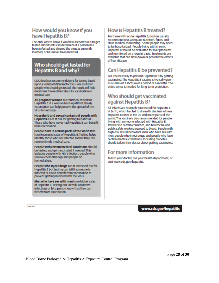## How would you know If you have Hepatitis B?

The only way to know If you have Hepatitis B is to get tested. Blood tests can determine if a person has been infected and cleared the virus, is currently Infected, or has never been Infected.

## Who should get tested for **Hepatitis B and why?**

CDC develops recommendations for testing based upon a variety of different factors. Here is a list of people who should get tested. The results will help determine the next best steps for vaccination or medical care.

All pregnant women are routinely tested for Hepatitis B. If a woman has Hepatitis B, timely vaccination can help prevent the spread of the virus to her baby.

Household and sexual contacts of people with Hepatitis B are at risk for getting Hepatitis B. Those who have never had Hepatitis B can benefit from vaccination.

People born in certain parts of the world that have Increased rates of Hepatitis B. Testing helps Identify those who are infected so that they can receive timely medical care.

People with certain medical conditions should be tested, and get vaccinated if needed. This Includes people with HIV Infection, people who receive chemotherapy and people on hemodialysis.

People who inject drugs are at increased risk for Hepatitis B but testing can tell if someone is Infected or could benefit from vaccination to prevent getting infected with the virus.

Men who have sex with men have higher rates of Hepatitis B. Testing can Identify unknown Infections or let a person know that they can benefit from vaccination.

# How is Hepatitis B treated?

For those with acute Hepatitis B, doctors usually recommend rest, adequate nutrition, fluids, and close medical monitoring. Some people may need to be hospitalized. People living with chronic Hepatitis B should be evaluated for liver problems and monitored on a regular basis. Treatments are available that can slow down or prevent the effects of liver disease.

## Can Hepatitis B be prevented?

Yes. The best way to prevent Hepatitis B is by getting vaccinated. The Hepatitis B vaccine is typically given as a series of 3 shots over a period of 6 months. The entire series is needed for long-term protection.

## Who should get vaccinated against Hepatitis B?

All infants are routinely vaccinated for Hepatitis B at birth, which has led to dramatic declines of new Hepatitis B cases in the US and many parts of the world. The vaccine is also recommended for people living with someone infected with Hepatitis B, travelers to certain countries, and healthcare and public safety workers exposed to blood. People with high-risk sexual behaviors, men who have sex with men, people who inject drugs, and people who have certain medical conditions, including diabetes, should talk to their doctor about getting vaccinated.

## For more Information

Talk to your doctor, call your health department, or visit www.cdc.gov/hepatitis.

www.cdc.gov/hepatitis

lune 2016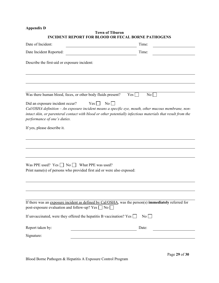#### **Appendix D**

| <b>Town of Tiburon</b><br><b>INCIDENT REPORT FOR BLOOD OR FECAL BORNE PATHOGENS</b>                                                                                                                                                                                                                               |                  |  |
|-------------------------------------------------------------------------------------------------------------------------------------------------------------------------------------------------------------------------------------------------------------------------------------------------------------------|------------------|--|
| Date of Incident:                                                                                                                                                                                                                                                                                                 | Time:            |  |
| Date Incident Reported:                                                                                                                                                                                                                                                                                           | Time:            |  |
| Describe the first-aid or exposure incident:                                                                                                                                                                                                                                                                      |                  |  |
| Was there human blood, feces, or other body fluids present?                                                                                                                                                                                                                                                       | Yes<br>$\rm{No}$ |  |
| $\overline{N_0}$<br>Did an exposure incident occur?<br>Yes<br>Cal/OSHA definition - An exposure incident means a specific eye, mouth, other mucous membrane, non-<br>intact skin, or parenteral contact with blood or other potentially infectious materials that result from the<br>performance of one's duties. |                  |  |
| If yes, please describe it.                                                                                                                                                                                                                                                                                       |                  |  |
| Was PPE used? Yes $\Box$ No What PPE was used?<br>Print name(s) of persons who provided first aid or were also exposed:                                                                                                                                                                                           |                  |  |
| If there was an exposure incident as defined by Cal/OSHA, was the person(s) <b>immediately</b> referred for                                                                                                                                                                                                       |                  |  |
| post-exposure evaluation and follow-up? Yes $\Box$ No $\Box$                                                                                                                                                                                                                                                      |                  |  |
| If unvaccinated, were they offered the hepatitis B vaccination? Yes $\Box$                                                                                                                                                                                                                                        | $\mathrm{No}$    |  |
| Report taken by:                                                                                                                                                                                                                                                                                                  | Date:            |  |
| Signature:                                                                                                                                                                                                                                                                                                        |                  |  |